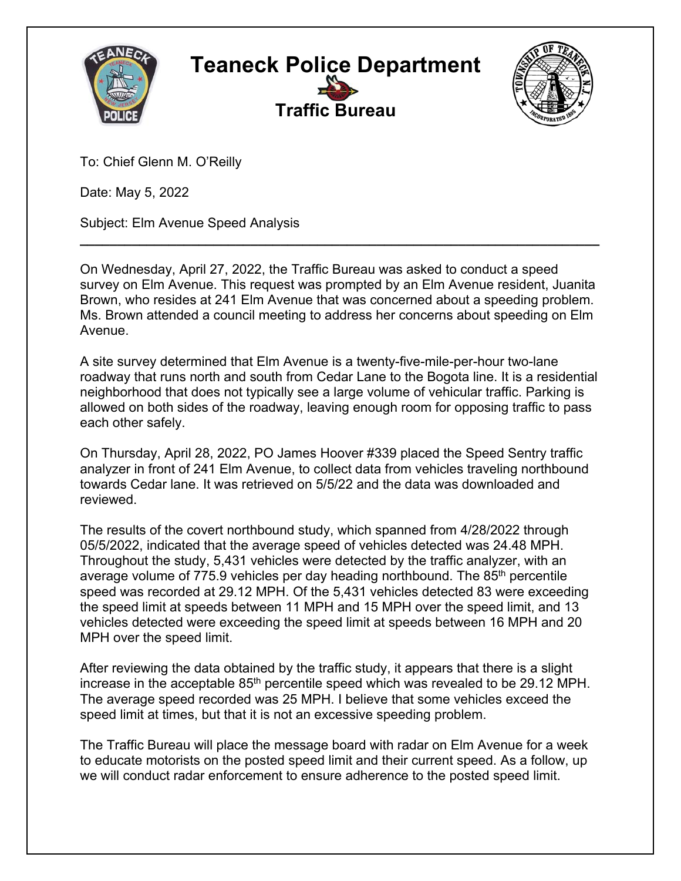



To: Chief Glenn M. O'Reilly

Date: May 5, 2022

Subject: Elm Avenue Speed Analysis

On Wednesday, April 27, 2022, the Traffic Bureau was asked to conduct a speed survey on Elm Avenue. This request was prompted by an Elm Avenue resident, Juanita Brown, who resides at 241 Elm Avenue that was concerned about a speeding problem. Ms. Brown attended a council meeting to address her concerns about speeding on Elm Avenue.

**\_\_\_\_\_\_\_\_\_\_\_\_\_\_\_\_\_\_\_\_\_\_\_\_\_\_\_\_\_\_\_\_\_\_\_\_\_\_\_\_\_\_\_\_\_\_\_\_\_\_\_\_\_\_\_\_\_\_\_\_\_\_\_\_\_\_\_\_\_\_** 

A site survey determined that Elm Avenue is a twenty-five-mile-per-hour two-lane roadway that runs north and south from Cedar Lane to the Bogota line. It is a residential neighborhood that does not typically see a large volume of vehicular traffic. Parking is allowed on both sides of the roadway, leaving enough room for opposing traffic to pass each other safely.

On Thursday, April 28, 2022, PO James Hoover #339 placed the Speed Sentry traffic analyzer in front of 241 Elm Avenue, to collect data from vehicles traveling northbound towards Cedar lane. It was retrieved on 5/5/22 and the data was downloaded and reviewed.

The results of the covert northbound study, which spanned from 4/28/2022 through 05/5/2022, indicated that the average speed of vehicles detected was 24.48 MPH. Throughout the study, 5,431 vehicles were detected by the traffic analyzer, with an average volume of  $775.9$  vehicles per day heading northbound. The  $85<sup>th</sup>$  percentile speed was recorded at 29.12 MPH. Of the 5,431 vehicles detected 83 were exceeding the speed limit at speeds between 11 MPH and 15 MPH over the speed limit, and 13 vehicles detected were exceeding the speed limit at speeds between 16 MPH and 20 MPH over the speed limit.

After reviewing the data obtained by the traffic study, it appears that there is a slight increase in the acceptable 85<sup>th</sup> percentile speed which was revealed to be 29.12 MPH. The average speed recorded was 25 MPH. I believe that some vehicles exceed the speed limit at times, but that it is not an excessive speeding problem.

The Traffic Bureau will place the message board with radar on Elm Avenue for a week to educate motorists on the posted speed limit and their current speed. As a follow, up we will conduct radar enforcement to ensure adherence to the posted speed limit.